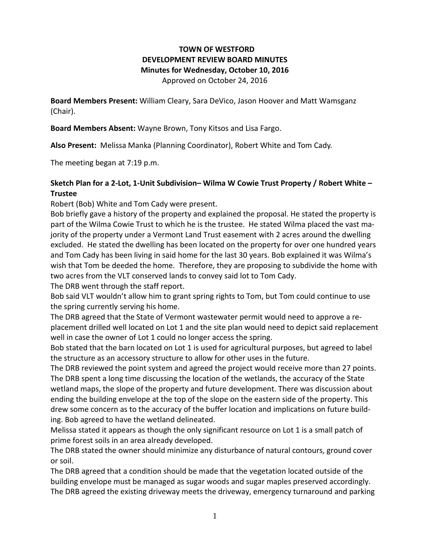# **TOWN OF WESTFORD DEVELOPMENT REVIEW BOARD MINUTES Minutes for Wednesday, October 10, 2016** Approved on October 24, 2016

**Board Members Present:** William Cleary, Sara DeVico, Jason Hoover and Matt Wamsganz (Chair).

**Board Members Absent:** Wayne Brown, Tony Kitsos and Lisa Fargo.

**Also Present:** Melissa Manka (Planning Coordinator), Robert White and Tom Cady.

The meeting began at 7:19 p.m.

## **Sketch Plan for a 2-Lot, 1-Unit Subdivision– Wilma W Cowie Trust Property / Robert White – Trustee**

Robert (Bob) White and Tom Cady were present.

Bob briefly gave a history of the property and explained the proposal. He stated the property is part of the Wilma Cowie Trust to which he is the trustee. He stated Wilma placed the vast majority of the property under a Vermont Land Trust easement with 2 acres around the dwelling excluded. He stated the dwelling has been located on the property for over one hundred years and Tom Cady has been living in said home for the last 30 years. Bob explained it was Wilma's wish that Tom be deeded the home. Therefore, they are proposing to subdivide the home with two acres from the VLT conserved lands to convey said lot to Tom Cady.

The DRB went through the staff report.

Bob said VLT wouldn't allow him to grant spring rights to Tom, but Tom could continue to use the spring currently serving his home.

The DRB agreed that the State of Vermont wastewater permit would need to approve a replacement drilled well located on Lot 1 and the site plan would need to depict said replacement well in case the owner of Lot 1 could no longer access the spring.

Bob stated that the barn located on Lot 1 is used for agricultural purposes, but agreed to label the structure as an accessory structure to allow for other uses in the future.

The DRB reviewed the point system and agreed the project would receive more than 27 points. The DRB spent a long time discussing the location of the wetlands, the accuracy of the State wetland maps, the slope of the property and future development. There was discussion about ending the building envelope at the top of the slope on the eastern side of the property. This drew some concern as to the accuracy of the buffer location and implications on future building. Bob agreed to have the wetland delineated.

Melissa stated it appears as though the only significant resource on Lot 1 is a small patch of prime forest soils in an area already developed.

The DRB stated the owner should minimize any disturbance of natural contours, ground cover or soil.

The DRB agreed that a condition should be made that the vegetation located outside of the building envelope must be managed as sugar woods and sugar maples preserved accordingly. The DRB agreed the existing driveway meets the driveway, emergency turnaround and parking